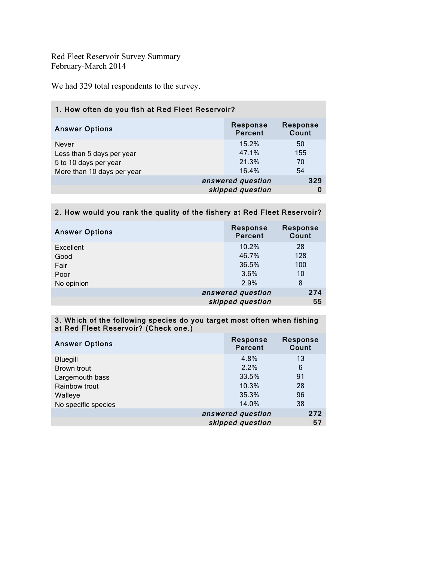Red Fleet Reservoir Survey Summary February-March 2014

We had 329 total respondents to the survey.

| 1. How often do you fish at Red Fleet Reservoir? |                            |  |  |
|--------------------------------------------------|----------------------------|--|--|
| Response<br>Percent                              | Response<br>Count          |  |  |
| 15.2%                                            | 50                         |  |  |
|                                                  | 155                        |  |  |
| 21.3%                                            | 70                         |  |  |
| 16.4%                                            | 54                         |  |  |
|                                                  | 329                        |  |  |
| skipped question                                 |                            |  |  |
|                                                  | 47.1%<br>answered question |  |  |

## 2. How would you rank the quality of the fishery at Red Fleet Reservoir?

| <b>Answer Options</b> | Response<br>Percent | Response<br>Count |
|-----------------------|---------------------|-------------------|
| Excellent             | 10.2%               | 28                |
| Good                  | 46.7%               | 128               |
| Fair                  | 36.5%               | 100               |
| Poor                  | 3.6%                | 10                |
| No opinion            | 2.9%                | 8                 |
|                       | answered question   | 274               |
|                       | skipped question    | 55                |

## 3. Which of the following species do you target most often when fishing at Red Fleet Reservoir? (Check one.)

| <b>Answer Options</b> | Response<br>Percent | Response<br>Count |
|-----------------------|---------------------|-------------------|
| <b>Bluegill</b>       | 4.8%                | 13                |
| Brown trout           | 2.2%                | 6                 |
| Largemouth bass       | 33.5%               | 91                |
| Rainbow trout         | 10.3%               | 28                |
| Walleye               | 35.3%               | 96                |
| No specific species   | 14.0%               | 38                |
|                       | answered question   | 272               |
|                       | skipped question    | 57                |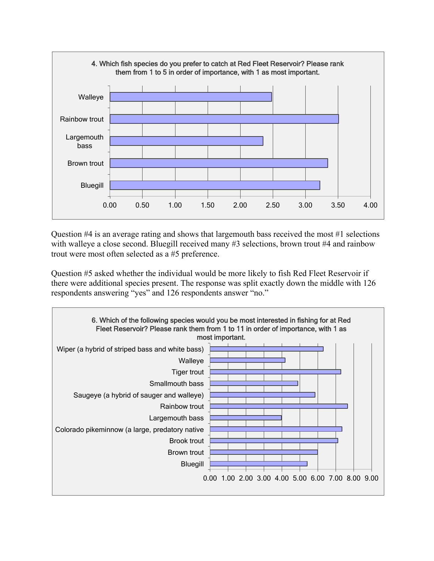

Question  $#4$  is an average rating and shows that largemouth bass received the most  $#1$  selections with walleye a close second. Bluegill received many #3 selections, brown trout #4 and rainbow trout were most often selected as a #5 preference.

Question #5 asked whether the individual would be more likely to fish Red Fleet Reservoir if there were additional species present. The response was split exactly down the middle with 126 respondents answering "yes" and 126 respondents answer "no."

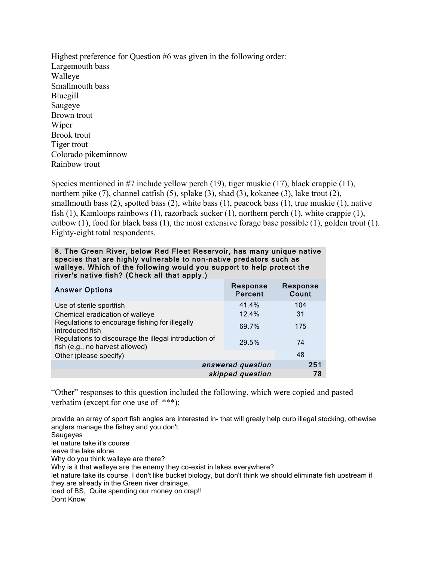Highest preference for Question #6 was given in the following order: Largemouth bass Walleye Smallmouth bass Bluegill Saugeye Brown trout Wiper Brook trout Tiger trout Colorado pikeminnow Rainbow trout

Species mentioned in #7 include yellow perch (19), tiger muskie (17), black crappie (11), northern pike (7), channel catfish (5), splake (3), shad (3), kokanee (3), lake trout (2), smallmouth bass (2), spotted bass (2), white bass (1), peacock bass (1), true muskie (1), native fish (1), Kamloops rainbows (1), razorback sucker (1), northern perch (1), white crappie (1), cutbow (1), food for black bass (1), the most extensive forage base possible (1), golden trout (1). Eighty-eight total respondents.

| 8. The Green River, below Red Fleet Reservoir, has many unique native<br>species that are highly vulnerable to non-native predators such as |
|---------------------------------------------------------------------------------------------------------------------------------------------|
| walleye. Which of the following would you support to help protect the<br>river's native fish? (Check all that apply.)                       |
|                                                                                                                                             |

| <b>Answer Options</b>                                                                    | Response<br>Percent | Response<br>Count |
|------------------------------------------------------------------------------------------|---------------------|-------------------|
| Use of sterile sportfish                                                                 | 41.4%               | 104               |
| Chemical eradication of walleye                                                          | 12.4%               | 31                |
| Regulations to encourage fishing for illegally<br>introduced fish                        | 69.7%               | 175               |
| Regulations to discourage the illegal introduction of<br>fish (e.g., no harvest allowed) | 29.5%               | 74                |
| Other (please specify)                                                                   |                     | 48                |
|                                                                                          | answered question   | 251               |
|                                                                                          | skipped question    | 78                |

"Other" responses to this question included the following, which were copied and pasted verbatim (except for one use of \*\*\*):

provide an array of sport fish angles are interested in- that will grealy help curb illegal stocking, othewise anglers manage the fishey and you don't.

Saugeyes let nature take it's course leave the lake alone Why do you think walleye are there? Why is it that walleye are the enemy they co-exist in lakes everywhere? let nature take its course. I don't like bucket biology, but don't think we should eliminate fish upstream if they are already in the Green river drainage. load of BS, Quite spending our money on crap!! Dont Know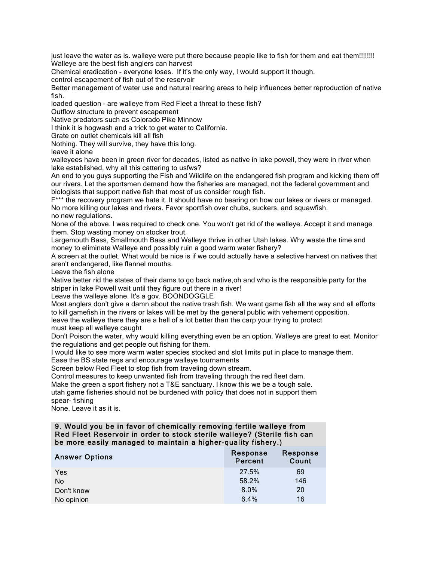just leave the water as is. walleye were put there because people like to fish for them and eat them!!!!!!!! Walleye are the best fish anglers can harvest

Chemical eradication - everyone loses. If it's the only way, I would support it though.

control escapement of fish out of the reservoir

Better management of water use and natural rearing areas to help influences better reproduction of native fish.

loaded question - are walleye from Red Fleet a threat to these fish?

Outflow structure to prevent escapement

Native predators such as Colorado Pike Minnow

I think it is hogwash and a trick to get water to California.

Grate on outlet chemicals kill all fish

Nothing. They will survive, they have this long.

leave it alone

walleyees have been in green river for decades, listed as native in lake powell, they were in river when lake established, why all this cattering to usfws?

An end to you guys supporting the Fish and Wildlife on the endangered fish program and kicking them off our rivers. Let the sportsmen demand how the fisheries are managed, not the federal government and biologists that support native fish that most of us consider rough fish.

F\*\*\* the recovery program we hate it. It should have no bearing on how our lakes or rivers or managed. No more killing our lakes and rivers. Favor sportfish over chubs, suckers, and squawfish. no new regulations.

None of the above. I was required to check one. You won't get rid of the walleye. Accept it and manage them. Stop wasting money on stocker trout.

Largemouth Bass, Smallmouth Bass and Walleye thrive in other Utah lakes. Why waste the time and money to eliminate Walleye and possibly ruin a good warm water fishery?

A screen at the outlet. What would be nice is if we could actually have a selective harvest on natives that aren't endangered, like flannel mouths.

Leave the fish alone

Native better rid the states of their dams to go back native,oh and who is the responsible party for the striper in lake Powell wait until they figure out there in a river!

Leave the walleye alone. It's a gov. BOONDOGGLE

Most anglers don't give a damn about the native trash fish. We want game fish all the way and all efforts to kill gamefish in the rivers or lakes will be met by the general public with vehement opposition.

leave the walleye there they are a hell of a lot better than the carp your trying to protect must keep all walleye caught

Don't Poison the water, why would killing everything even be an option. Walleye are great to eat. Monitor the regulations and get people out fishing for them.

I would like to see more warm water species stocked and slot limits put in place to manage them.

Ease the BS state regs and encourage walleye tournaments

Screen below Red Fleet to stop fish from traveling down stream.

Control measures to keep unwanted fish from traveling through the red fleet dam.

Make the green a sport fishery not a T&E sanctuary. I know this we be a tough sale.

utah game fisheries should not be burdened with policy that does not in support them spear- fishing

None. Leave it as it is.

9. Would you be in favor of chemically removing fertile walleye from Red Fleet Reservoir in order to stock sterile walleye? (Sterile fish can be more easily managed to maintain a higher-quality fishery.)

| <b>Answer Options</b> | Response<br>Percent | Response<br>Count |
|-----------------------|---------------------|-------------------|
| Yes                   | 27.5%               | 69                |
| No                    | 58.2%               | 146               |
| Don't know            | 8.0%                | 20                |
| No opinion            | 6.4%                | 16                |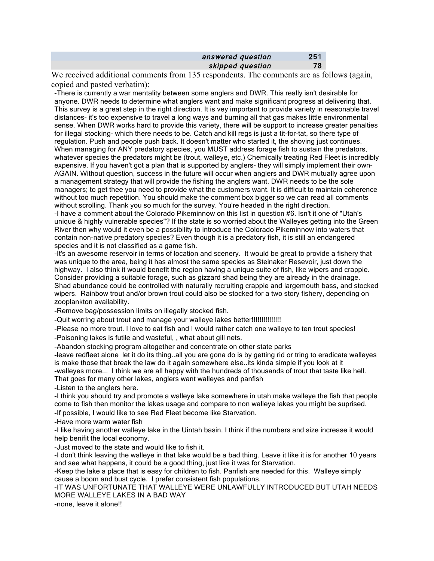| answered question | 251 |
|-------------------|-----|
| skipped question  | 78  |

We received additional comments from 135 respondents. The comments are as follows (again, copied and pasted verbatim):

-There is currently a war mentality between some anglers and DWR. This really isn't desirable for anyone. DWR needs to determine what anglers want and make significant progress at delivering that. This survey is a great step in the right direction. It is vey important to provide variety in reasonable travel distances- it's too expensive to travel a long ways and burning all that gas makes little environmental sense. When DWR works hard to provide this variety, there will be support to increase greater penalties for illegal stocking- which there needs to be. Catch and kill regs is just a tit-for-tat, so there type of regulation. Push and people push back. It doesn't matter who started it, the shoving just continues. When managing for ANY predatory species, you MUST address forage fish to sustain the predators, whatever species the predators might be (trout, walleye, etc.) Chemically treating Red Fleet is incredibly expensive. If you haven't got a plan that is supported by anglers- they will simply implement their own-AGAIN. Without question, success in the future will occur when anglers and DWR mutually agree upon a management strategy that will provide the fishing the anglers want. DWR needs to be the sole managers; to get thee you need to provide what the customers want. It is difficult to maintain coherence without too much repetition. You should make the comment box bigger so we can read all comments without scrolling. Thank you so much for the survey. You're headed in the right direction.

-I have a comment about the Colorado Pikeminnow on this list in question #6. Isn't it one of "Utah's unique & highly vulnerable species"? If the state is so worried about the Walleyes getting into the Green River then why would it even be a possibility to introduce the Colorado Pikeminnow into waters that contain non-native predatory species? Even though it is a predatory fish, it is still an endangered species and it is not classified as a game fish.

-It's an awesome reservoir in terms of location and scenery. It would be great to provide a fishery that was unique to the area, being it has almost the same species as Steinaker Resevoir, just down the highway. I also think it would benefit the region having a unique suite of fish, like wipers and crappie. Consider providing a suitable forage, such as gizzard shad being they are already in the drainage. Shad abundance could be controlled with naturally recruiting crappie and largemouth bass, and stocked wipers. Rainbow trout and/or brown trout could also be stocked for a two story fishery, depending on zooplankton availability.

-Remove bag/possession limits on illegally stocked fish.

-Quit worring about trout and manage your walleye lakes better!!!!!!!!!!!!!!!!!!

-Please no more trout. I love to eat fish and I would rather catch one walleye to ten trout species! -Poisoning lakes is futile and wasteful, , what about gill nets.

-Abandon stocking program altogether and concentrate on other state parks

-leave redfleet alone let it do its thing..all you are gona do is by getting rid or tring to eradicate walleyes is make those that break the law do it again somewhere else..its kinda simple if you look at it -walleyes more... I think we are all happy with the hundreds of thousands of trout that taste like hell. That goes for many other lakes, anglers want walleyes and panfish

-Listen to the anglers here.

-I think you should try and promote a walleye lake somewhere in utah make walleye the fish that people come to fish then monitor the lakes usage and compare to non walleye lakes you might be suprised.

-If possible, I would like to see Red Fleet become like Starvation.

-Have more warm water fish

-I like having another walleye lake in the Uintah basin. I think if the numbers and size increase it would help benifit the local economy.

-Just moved to the state and would like to fish it.

-I don't think leaving the walleye in that lake would be a bad thing. Leave it like it is for another 10 years and see what happens, it could be a good thing, just like it was for Starvation.

-Keep the lake a place that is easy for children to fish. Panfish are needed for this. Walleye simply cause a boom and bust cycle. I prefer consistent fish populations.

-IT WAS UNFORTUNATE THAT WALLEYE WERE UNLAWFULLY INTRODUCED BUT UTAH NEEDS MORE WALLEYE LAKES IN A BAD WAY

-none, leave it alone!!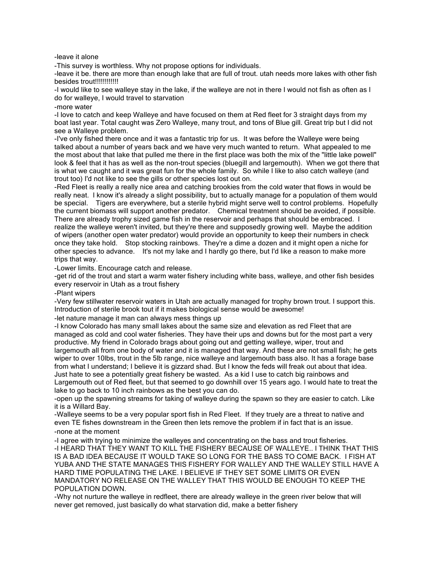-leave it alone

-This survey is worthless. Why not propose options for individuals.

-leave it be. there are more than enough lake that are full of trout. utah needs more lakes with other fish besides trout!!!!!!!!!!!!

-I would like to see walleye stay in the lake, if the walleye are not in there I would not fish as often as I do for walleye, I would travel to starvation

-more water

-I love to catch and keep Walleye and have focused on them at Red fleet for 3 straight days from my boat last year. Total caught was Zero Walleye, many trout, and tons of Blue gill. Great trip but I did not see a Walleye problem.

-I've only fished there once and it was a fantastic trip for us. It was before the Walleye were being talked about a number of years back and we have very much wanted to return. What appealed to me the most about that lake that pulled me there in the first place was both the mix of the "little lake powell" look & feel that it has as well as the non-trout species (bluegill and largemouth). When we got there that is what we caught and it was great fun for the whole family. So while I like to also catch walleye (and trout too) I'd not like to see the gills or other species lost out on.

-Red Fleet is really a really nice area and catching brookies from the cold water that flows in would be really neat. I know it's already a slight possibility, but to actually manage for a population of them would be special. Tigers are everywhere, but a sterile hybrid might serve well to control problems. Hopefully the current biomass will support another predator. Chemical treatment should be avoided, if possible. There are already trophy sized game fish in the reservoir and perhaps that should be embraced. I realize the walleye weren't invited, but they're there and supposedly growing well. Maybe the addition of wipers (another open water predator) would provide an opportunity to keep their numbers in check once they take hold. Stop stocking rainbows. They're a dime a dozen and it might open a niche for other species to advance. It's not my lake and I hardly go there, but I'd like a reason to make more trips that way.

-Lower limits. Encourage catch and release.

-get rid of the trout and start a warm water fishery including white bass, walleye, and other fish besides every reservoir in Utah as a trout fishery

-Plant wipers

-Very few stillwater reservoir waters in Utah are actually managed for trophy brown trout. I support this. Introduction of sterile brook tout if it makes biological sense would be awesome!

-let nature manage it man can always mess things up

-I know Colorado has many small lakes about the same size and elevation as red Fleet that are managed as cold and cool water fisheries. They have their ups and downs but for the most part a very productive. My friend in Colorado brags about going out and getting walleye, wiper, trout and largemouth all from one body of water and it is managed that way. And these are not small fish; he gets wiper to over 10lbs, trout in the 5lb range, nice walleye and largemouth bass also. It has a forage base from what I understand; I believe it is gizzard shad. But I know the feds will freak out about that idea. Just hate to see a potentially great fishery be wasted. As a kid I use to catch big rainbows and Largemouth out of Red fleet, but that seemed to go downhill over 15 years ago. I would hate to treat the lake to go back to 10 inch rainbows as the best you can do.

-open up the spawning streams for taking of walleye during the spawn so they are easier to catch. Like it is a Willard Bay.

-Walleye seems to be a very popular sport fish in Red Fleet. If they truely are a threat to native and even TE fishes downstream in the Green then lets remove the problem if in fact that is an issue. -none at the moment

-I agree with trying to minimize the walleyes and concentrating on the bass and trout fisheries. -I HEARD THAT THEY WANT TO KILL THE FISHERY BECAUSE OF WALLEYE.. I THINK THAT THIS IS A BAD IDEA BECAUSE IT WOULD TAKE SO LONG FOR THE BASS TO COME BACK. I FISH AT YUBA AND THE STATE MANAGES THIS FISHERY FOR WALLEY AND THE WALLEY STILL HAVE A HARD TIME POPULATING THE LAKE. I BELIEVE IF THEY SET SOME LIMITS OR EVEN MANDATORY NO RELEASE ON THE WALLEY THAT THIS WOULD BE ENOUGH TO KEEP THE POPULATION DOWN.

-Why not nurture the walleye in redfleet, there are already walleye in the green river below that will never get removed, just basically do what starvation did, make a better fishery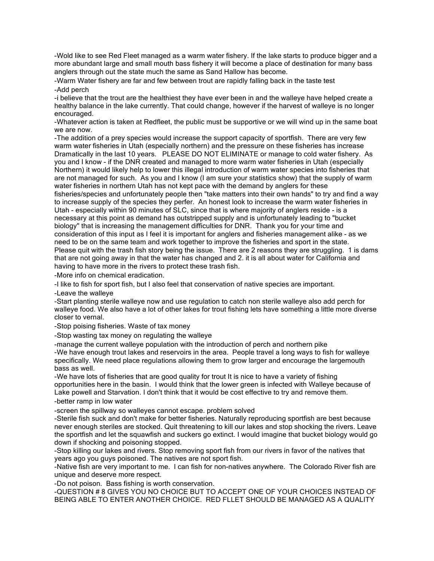-Wold like to see Red Fleet managed as a warm water fishery. If the lake starts to produce bigger and a more abundant large and small mouth bass fishery it will become a place of destination for many bass anglers through out the state much the same as Sand Hallow has become.

-Warm Water fishery are far and few between trout are rapidly falling back in the taste test -Add perch

-i believe that the trout are the healthiest they have ever been in and the walleye have helped create a healthy balance in the lake currently. That could change, however if the harvest of walleye is no longer encouraged.

-Whatever action is taken at Redfleet, the public must be supportive or we will wind up in the same boat we are now.

-The addition of a prey species would increase the support capacity of sportfish. There are very few warm water fisheries in Utah (especially northern) and the pressure on these fisheries has increase Dramatically in the last 10 years. PLEASE DO NOT ELIMINATE or manage to cold water fishery. As you and I know - if the DNR created and managed to more warm water fisheries in Utah (especially Northern) it would likely help to lower this illegal introduction of warm water species into fisheries that are not managed for such. As you and I know (I am sure your statistics show) that the supply of warm water fisheries in northern Utah has not kept pace with the demand by anglers for these fisheries/species and unfortunately people then "take matters into their own hands" to try and find a way to increase supply of the species they perfer. An honest look to increase the warm water fisheries in Utah - especially within 90 minutes of SLC, since that is where majority of anglers reside - is a necessary at this point as demand has outstripped supply and is unfortunately leading to "bucket biology" that is increasing the management difficulties for DNR. Thank you for your time and consideration of this input as I feel it is important for anglers and fisheries management alike - as we need to be on the same team and work together to improve the fisheries and sport in the state. Please quit with the trash fish story being the issue. There are 2 reasons they are struggling. 1 is dams that are not going away in that the water has changed and 2. it is all about water for California and having to have more in the rivers to protect these trash fish.

-More info on chemical eradication.

-I like to fish for sport fish, but I also feel that conservation of native species are important.

-Leave the walleye

-Start planting sterile walleye now and use regulation to catch non sterile walleye also add perch for walleye food. We also have a lot of other lakes for trout fishing lets have something a little more diverse closer to vernal.

-Stop poising fisheries. Waste of tax money

-Stop wasting tax money on regulating the walleye

-manage the current walleye population with the introduction of perch and northern pike -We have enough trout lakes and reservoirs in the area. People travel a long ways to fish for walleye

specifically. We need place regulations allowing them to grow larger and encourage the largemouth bass as well.

-We have lots of fisheries that are good quality for trout It is nice to have a variety of fishing opportunities here in the basin. I would think that the lower green is infected with Walleye because of Lake powell and Starvation. I don't think that it would be cost effective to try and remove them. -better ramp in low water

-screen the spillway so walleyes cannot escape. problem solved

-Sterile fish suck and don't make for better fisheries. Naturally reproducing sportfish are best because never enough steriles are stocked. Quit threatening to kill our lakes and stop shocking the rivers. Leave the sportfish and let the squawfish and suckers go extinct. I would imagine that bucket biology would go down if shocking and poisoning stopped.

-Stop killing our lakes and rivers. Stop removing sport fish from our rivers in favor of the natives that years ago you guys poisoned. The natives are not sport fish.

-Native fish are very important to me. I can fish for non-natives anywhere. The Colorado River fish are unique and deserve more respect.

-Do not poison. Bass fishing is worth conservation.

-QUESTION # 8 GIVES YOU NO CHOICE BUT TO ACCEPT ONE OF YOUR CHOICES INSTEAD OF BEING ABLE TO ENTER ANOTHER CHOICE. RED FLLET SHOULD BE MANAGED AS A QUALITY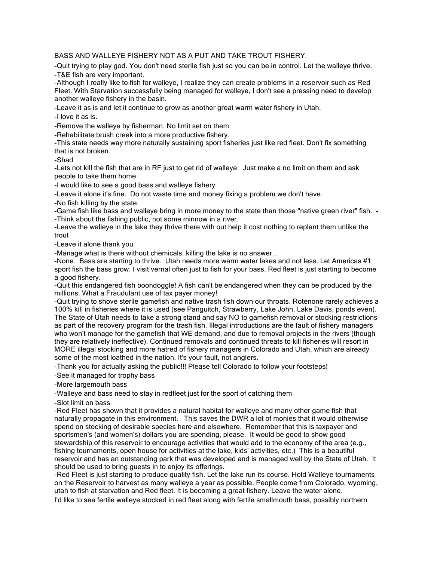## BASS AND WALLEYE FISHERY NOT AS A PUT AND TAKE TROUT FISHERY.

-Quit trying to play god. You don't need sterile fish just so you can be in control. Let the walleye thrive. -T&E fish are very important.

-Although I really like to fish for walleye, I realize they can create problems in a reservoir such as Red Fleet. With Starvation successfully being managed for walleye, I don't see a pressing need to develop another walleye fishery in the basin.

-Leave it as is and let it continue to grow as another great warm water fishery in Utah.

-I love it as is.

-Remove the walleye by fisherman. No limit set on them.

-Rehabilitate brush creek into a more productive fishery.

-This state needs way more naturally sustaining sport fisheries just like red fleet. Don't fix something that is not broken.

-Shad

-Lets not kill the fish that are in RF just to get rid of walleye. Just make a no limit on them and ask people to take them home.

-I would like to see a good bass and walleye fishery

-Leave it alone it's fine. Do not waste time and money fixing a problem we don't have.

-No fish killing by the state.

-Game fish like bass and walleye bring in more money to the state than those "native green river" fish. - -Think about the fishing public, not some minnow in a river.

-Leave the walleye in the lake they thrive there with out help it cost nothing to replant them unlike the trout

-Leave it alone thank you

-Manage what is there without chemicals. killing the lake is no answer...

-None. Bass are starting to thrive. Utah needs more warm water lakes and not less. Let Americas #1 sport fish the bass grow. I visit vernal often just to fish for your bass. Red fleet is just starting to become a good fishery.

-Quit this endangered fish boondoggle! A fish can't be endangered when they can be produced by the millions. What a Fraudulant use of tax payer money!

-Quit trying to shove sterile gamefish and native trash fish down our throats. Rotenone rarely achieves a 100% kill in fisheries where it is used (see Panguitch, Strawberry, Lake John, Lake Davis, ponds even). The State of Utah needs to take a strong stand and say NO to gamefish removal or stocking restrictions as part of the recovery program for the trash fish. Illegal introductions are the fault of fishery managers who won't manage for the gamefish that WE demand, and due to removal projects in the rivers (though they are relatively ineffective). Continued removals and continued threats to kill fisheries will resort in MORE illegal stocking and more hatred of fishery managers in Colorado and Utah, which are already some of the most loathed in the nation. It's your fault, not anglers.

-Thank you for actually asking the public!!! Please tell Colorado to follow your footsteps!

-See it managed for trophy bass

-More largemouth bass

-Walleye and bass need to stay in redfleet just for the sport of catching them

-Slot limit on bass

-Red Fleet has shown that it provides a natural habitat for walleye and many other game fish that naturally propagate in this environment. This saves the DWR a lot of monies that it would otherwise spend on stocking of desirable species here and elsewhere. Remember that this is taxpayer and sportsmen's (and women's) dollars you are spending, please. It would be good to show good stewardship of this reservoir to encourage activities that would add to the economy of the area (e.g., fishing tournaments, open house for activities at the lake, kids' activities, etc.) This is a beautiful reservoir and has an outstanding park that was developed and is managed well by the State of Utah. It should be used to bring guests in to enjoy its offerings.

-Red Fleet is just starting to produce quality fish. Let the lake run its course. Hold Walleye tournaments on the Reservoir to harvest as many walleye a year as possible. People come from Colorado, wyoming, utah to fish at starvation and Red fleet. It is becoming a great fishery. Leave the water alone.

I'd like to see fertile walleye stocked in red fleet along with fertile smallmouth bass, possibly northern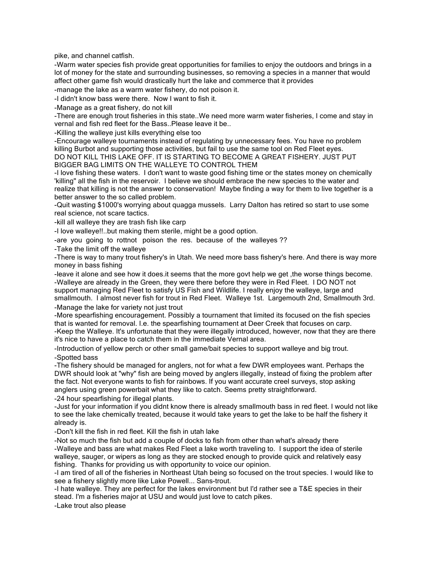pike, and channel catfish.

-Warm water species fish provide great opportunities for families to enjoy the outdoors and brings in a lot of money for the state and surrounding businesses, so removing a species in a manner that would affect other game fish would drastically hurt the lake and commerce that it provides

-manage the lake as a warm water fishery, do not poison it.

-I didn't know bass were there. Now I want to fish it.

-Manage as a great fishery, do not kill

-There are enough trout fisheries in this state..We need more warm water fisheries, I come and stay in vernal and fish red fleet for the Bass..Please leave it be..

-Killing the walleye just kills everything else too

-Encourage walleye tournaments instead of regulating by unnecessary fees. You have no problem killing Burbot and supporting those activities, but fail to use the same tool on Red Fleet eyes. DO NOT KILL THIS LAKE OFF. IT IS STARTING TO BECOME A GREAT FISHERY. JUST PUT BIGGER BAG LIMITS ON THE WALLEYE TO CONTROL THEM

-I love fishing these waters. I don't want to waste good fishing time or the states money on chemically 'killing" all the fish in the reservoir. I believe we should embrace the new species to the water and realize that killing is not the answer to conservation! Maybe finding a way for them to live together is a better answer to the so called problem.

-Quit wasting \$1000's worrying about quagga mussels. Larry Dalton has retired so start to use some real science, not scare tactics.

-kill all walleye they are trash fish like carp

-I love walleye!!..but making them sterile, might be a good option.

-are you going to rottnot poison the res. because of the walleyes ??

-Take the limit off the walleye

-There is way to many trout fishery's in Utah. We need more bass fishery's here. And there is way more money in bass fishing

-leave it alone and see how it does.it seems that the more govt help we get ,the worse things become. -Walleye are already in the Green, they were there before they were in Red Fleet. I DO NOT not support managing Red Fleet to satisfy US Fish and Wildlife. I really enjoy the walleye, large and smallmouth. I almost never fish for trout in Red Fleet. Walleye 1st. Largemouth 2nd, Smallmouth 3rd. -Manage the lake for variety not just trout

-More spearfishing encouragement. Possibly a tournament that limited its focused on the fish species that is wanted for removal. I.e. the spearfishing tournament at Deer Creek that focuses on carp. -Keep the Walleye. It's unfortunate that they were illegally introduced, however, now that they are there it's nice to have a place to catch them in the immediate Vernal area.

-Introduction of yellow perch or other small game/bait species to support walleye and big trout. -Spotted bass

-The fishery should be managed for anglers, not for what a few DWR employees want. Perhaps the DWR should look at "why" fish are being moved by anglers illegally, instead of fixing the problem after the fact. Not everyone wants to fish for rainbows. If you want accurate creel surveys, stop asking anglers using green powerbait what they like to catch. Seems pretty straightforward. -24 hour spearfishing for illegal plants.

-Just for your information if you didnt know there is already smallmouth bass in red fleet. I would not like to see the lake chemically treated, because it would take years to get the lake to be half the fishery it

already is. -Don't kill the fish in red fleet. Kill the fish in utah lake

-Not so much the fish but add a couple of docks to fish from other than what's already there -Walleye and bass are what makes Red Fleet a lake worth traveling to. I support the idea of sterile walleye, sauger, or wipers as long as they are stocked enough to provide quick and relatively easy fishing. Thanks for providing us with opportunity to voice our opinion.

-I am tired of all of the fisheries in Northeast Utah being so focused on the trout species. I would like to see a fishery slightly more like Lake Powell... Sans-trout.

-I hate walleye. They are perfect for the lakes environment but I'd rather see a T&E species in their stead. I'm a fisheries major at USU and would just love to catch pikes.

-Lake trout also please